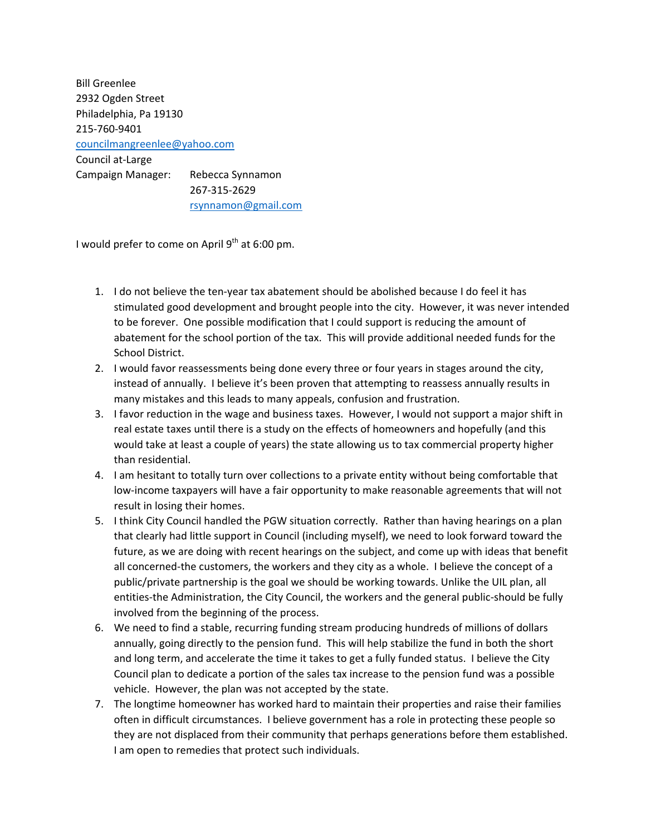Bill Greenlee 2932 Ogden Street Philadelphia, Pa 19130 215‐760‐9401 councilmangreenlee@yahoo.com Council at‐Large Campaign Manager: Rebecca Synnamon 267‐315‐2629 rsynnamon@gmail.com

I would prefer to come on April  $9^{th}$  at 6:00 pm.

- 1. I do not believe the ten‐year tax abatement should be abolished because I do feel it has stimulated good development and brought people into the city. However, it was never intended to be forever. One possible modification that I could support is reducing the amount of abatement for the school portion of the tax. This will provide additional needed funds for the School District.
- 2. I would favor reassessments being done every three or four years in stages around the city, instead of annually. I believe it's been proven that attempting to reassess annually results in many mistakes and this leads to many appeals, confusion and frustration.
- 3. I favor reduction in the wage and business taxes. However, I would not support a major shift in real estate taxes until there is a study on the effects of homeowners and hopefully (and this would take at least a couple of years) the state allowing us to tax commercial property higher than residential.
- 4. I am hesitant to totally turn over collections to a private entity without being comfortable that low‐income taxpayers will have a fair opportunity to make reasonable agreements that will not result in losing their homes.
- 5. I think City Council handled the PGW situation correctly. Rather than having hearings on a plan that clearly had little support in Council (including myself), we need to look forward toward the future, as we are doing with recent hearings on the subject, and come up with ideas that benefit all concerned-the customers, the workers and they city as a whole. I believe the concept of a public/private partnership is the goal we should be working towards. Unlike the UIL plan, all entities-the Administration, the City Council, the workers and the general public-should be fully involved from the beginning of the process.
- 6. We need to find a stable, recurring funding stream producing hundreds of millions of dollars annually, going directly to the pension fund. This will help stabilize the fund in both the short and long term, and accelerate the time it takes to get a fully funded status. I believe the City Council plan to dedicate a portion of the sales tax increase to the pension fund was a possible vehicle. However, the plan was not accepted by the state.
- 7. The longtime homeowner has worked hard to maintain their properties and raise their families often in difficult circumstances. I believe government has a role in protecting these people so they are not displaced from their community that perhaps generations before them established. I am open to remedies that protect such individuals.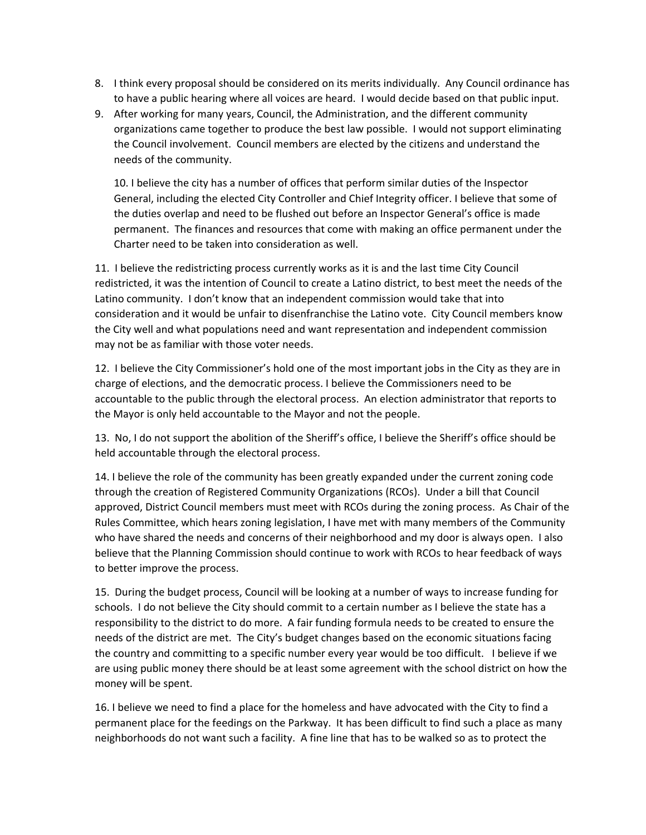- 8. I think every proposal should be considered on its merits individually. Any Council ordinance has to have a public hearing where all voices are heard. I would decide based on that public input.
- 9. After working for many years, Council, the Administration, and the different community organizations came together to produce the best law possible. I would not support eliminating the Council involvement. Council members are elected by the citizens and understand the needs of the community.

10. I believe the city has a number of offices that perform similar duties of the Inspector General, including the elected City Controller and Chief Integrity officer. I believe that some of the duties overlap and need to be flushed out before an Inspector General's office is made permanent. The finances and resources that come with making an office permanent under the Charter need to be taken into consideration as well.

11. I believe the redistricting process currently works as it is and the last time City Council redistricted, it was the intention of Council to create a Latino district, to best meet the needs of the Latino community. I don't know that an independent commission would take that into consideration and it would be unfair to disenfranchise the Latino vote. City Council members know the City well and what populations need and want representation and independent commission may not be as familiar with those voter needs.

12. I believe the City Commissioner's hold one of the most important jobs in the City as they are in charge of elections, and the democratic process. I believe the Commissioners need to be accountable to the public through the electoral process. An election administrator that reports to the Mayor is only held accountable to the Mayor and not the people.

13. No, I do not support the abolition of the Sheriff's office, I believe the Sheriff's office should be held accountable through the electoral process.

14. I believe the role of the community has been greatly expanded under the current zoning code through the creation of Registered Community Organizations (RCOs). Under a bill that Council approved, District Council members must meet with RCOs during the zoning process. As Chair of the Rules Committee, which hears zoning legislation, I have met with many members of the Community who have shared the needs and concerns of their neighborhood and my door is always open. I also believe that the Planning Commission should continue to work with RCOs to hear feedback of ways to better improve the process.

15. During the budget process, Council will be looking at a number of ways to increase funding for schools. I do not believe the City should commit to a certain number as I believe the state has a responsibility to the district to do more. A fair funding formula needs to be created to ensure the needs of the district are met. The City's budget changes based on the economic situations facing the country and committing to a specific number every year would be too difficult. I believe if we are using public money there should be at least some agreement with the school district on how the money will be spent.

16. I believe we need to find a place for the homeless and have advocated with the City to find a permanent place for the feedings on the Parkway. It has been difficult to find such a place as many neighborhoods do not want such a facility. A fine line that has to be walked so as to protect the